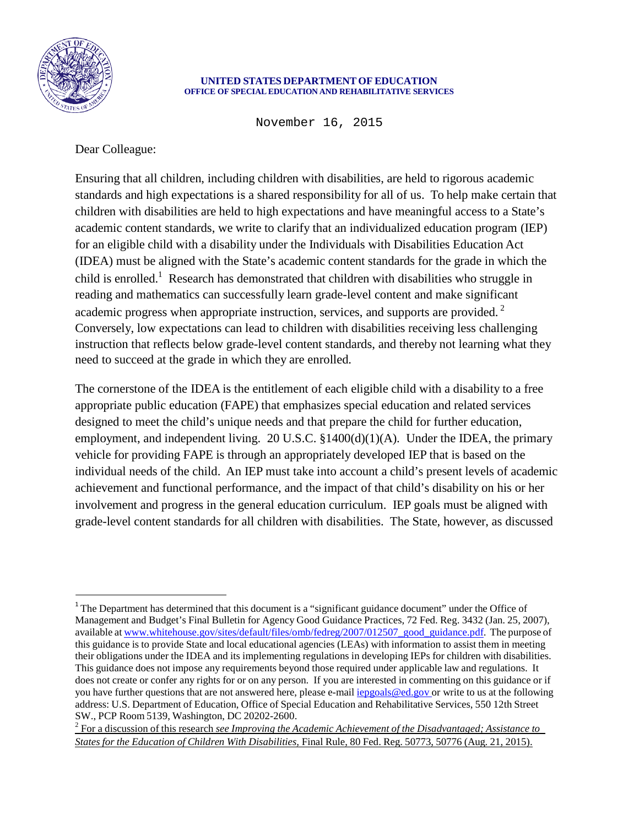

#### **UNITED STATES DEPARTMENT OF EDUCATION OFFICE OF SPECIAL EDUCATION AND REHABILITATIVE SERVICES**

November 16, 2015

Dear Colleague:

Ensuring that all children, including children with disabilities, are held to rigorous academic standards and high expectations is a shared responsibility for all of us. To help make certain that children with disabilities are held to high expectations and have meaningful access to a State's academic content standards, we write to clarify that an individualized education program (IEP) for an eligible child with a disability under the Individuals with Disabilities Education Act (IDEA) must be aligned with the State's academic content standards for the grade in which the child is enrolled.<sup>1</sup> Research has demonstrated that children with disabilities who struggle in reading and mathematics can successfully learn grade-level content and make significant academic progress when appropriate instruction, services, and supports are provided.<sup>2</sup> Conversely, low expectations can lead to children with disabilities receiving less challenging instruction that reflects below grade-level content standards, and thereby not learning what they need to succeed at the grade in which they are enrolled.

The cornerstone of the IDEA is the entitlement of each eligible child with a disability to a free appropriate public education (FAPE) that emphasizes special education and related services designed to meet the child's unique needs and that prepare the child for further education, employment, and independent living. 20 U.S.C. §1400(d)(1)(A). Under the IDEA, the primary vehicle for providing FAPE is through an appropriately developed IEP that is based on the individual needs of the child. An IEP must take into account a child's present levels of academic achievement and functional performance, and the impact of that child's disability on his or her involvement and progress in the general education curriculum. IEP goals must be aligned with grade-level content standards for all children with disabilities. The State, however, as discussed

<sup>&</sup>lt;sup>1</sup> The Department has determined that this document is a "significant guidance document" under the Office of Management and Budget's Final Bulletin for Agency Good Guidance Practices, 72 Fed. Reg. 3432 (Jan. 25, 2007), available at [www.whitehouse.gov/sites/default/files/omb/fedreg/2007/012507\\_good\\_guidance.pdf.](http://www.whitehouse.gov/sites/default/files/omb/fedreg/2007/012507_good_guidance.pdf) The purpose of this guidance is to provide State and local educational agencies (LEAs) with information to assist them in meeting their obligations under the IDEA and its implementing regulations in developing IEPs for children with disabilities. This guidance does not impose any requirements beyond those required under applicable law and regulations. It does not create or confer any rights for or on any person. If you are interested in commenting on this guidance or if you have further questions that are not answered here, please e-mail [iepgoals@ed.gov](mailto:iepgoals@ed.gov) or write to us at the following address: U.S. Department of Education, Office of Special Education and Rehabilitative Services, 550 12th Street SW., PCP Room 5139, Washington, DC 20202-2600.<br><sup>2</sup> For a discussion of this research *see Improving the Academic Achievement of the Disadvantaged; Assistance to* 

*States for the Education of Children With Disabilities,* Final Rule, 80 Fed. Reg. 50773, 50776 (Aug. 21, 2015).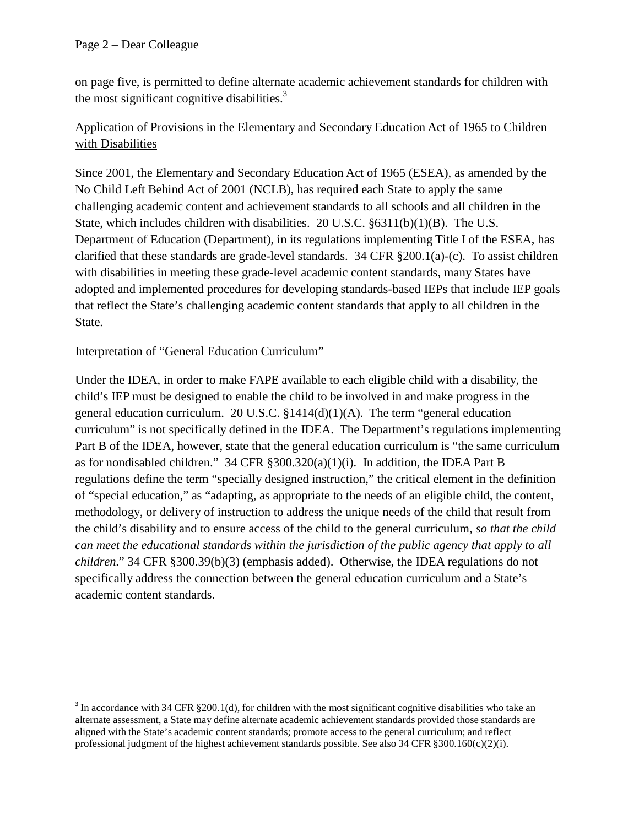on page five, is permitted to define alternate academic achievement standards for children with the most significant cognitive disabilities.<sup>3</sup>

# Application of Provisions in the Elementary and Secondary Education Act of 1965 to Children with Disabilities

Since 2001, the Elementary and Secondary Education Act of 1965 (ESEA), as amended by the No Child Left Behind Act of 2001 (NCLB), has required each State to apply the same challenging academic content and achievement standards to all schools and all children in the State, which includes children with disabilities. 20 U.S.C.  $\S 6311(b)(1)(B)$ . The U.S. Department of Education (Department), in its regulations implementing Title I of the ESEA, has clarified that these standards are grade-level standards. 34 CFR §200.1(a)-(c). To assist children with disabilities in meeting these grade-level academic content standards, many States have adopted and implemented procedures for developing standards-based IEPs that include IEP goals that reflect the State's challenging academic content standards that apply to all children in the State.

# Interpretation of "General Education Curriculum"

Under the IDEA, in order to make FAPE available to each eligible child with a disability, the child's IEP must be designed to enable the child to be involved in and make progress in the general education curriculum. 20 U.S.C. §1414(d)(1)(A). The term "general education curriculum" is not specifically defined in the IDEA. The Department's regulations implementing Part B of the IDEA, however, state that the general education curriculum is "the same curriculum as for nondisabled children." 34 CFR §300.320(a)(1)(i). In addition, the IDEA Part B regulations define the term "specially designed instruction," the critical element in the definition of "special education," as "adapting, as appropriate to the needs of an eligible child, the content, methodology, or delivery of instruction to address the unique needs of the child that result from the child's disability and to ensure access of the child to the general curriculum, *so that the child can meet the educational standards within the jurisdiction of the public agency that apply to all children*." 34 CFR §300.39(b)(3) (emphasis added). Otherwise, the IDEA regulations do not specifically address the connection between the general education curriculum and a State's academic content standards.

<sup>&</sup>lt;sup>3</sup> In accordance with 34 CFR §200.1(d), for children with the most significant cognitive disabilities who take an alternate assessment, a State may define alternate academic achievement standards provided those standards are aligned with the State's academic content standards; promote access to the general curriculum; and reflect professional judgment of the highest achievement standards possible. See also 34 CFR §300.160(c)(2)(i).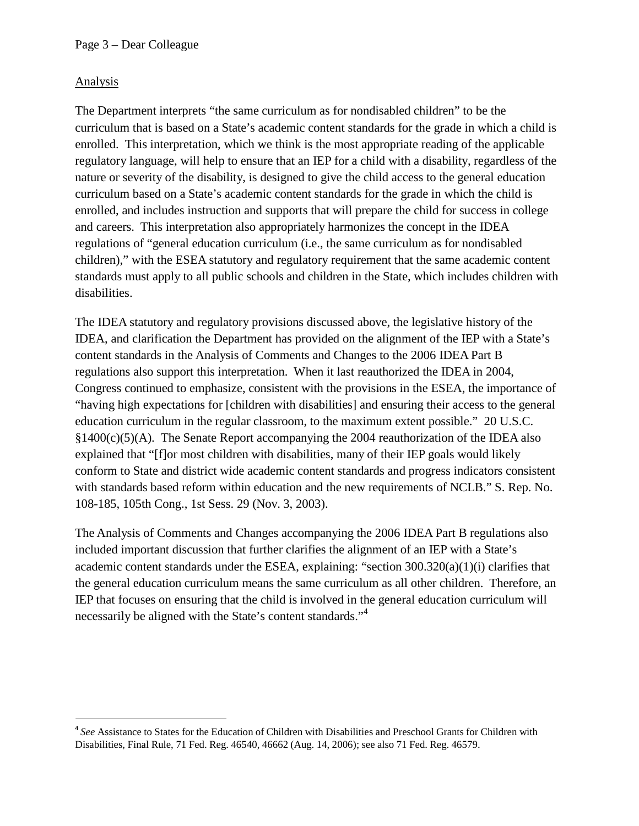#### Analysis

The Department interprets "the same curriculum as for nondisabled children" to be the curriculum that is based on a State's academic content standards for the grade in which a child is enrolled. This interpretation, which we think is the most appropriate reading of the applicable regulatory language, will help to ensure that an IEP for a child with a disability, regardless of the nature or severity of the disability, is designed to give the child access to the general education curriculum based on a State's academic content standards for the grade in which the child is enrolled, and includes instruction and supports that will prepare the child for success in college and careers. This interpretation also appropriately harmonizes the concept in the IDEA regulations of "general education curriculum (i.e., the same curriculum as for nondisabled children)," with the ESEA statutory and regulatory requirement that the same academic content standards must apply to all public schools and children in the State, which includes children with disabilities.

The IDEA statutory and regulatory provisions discussed above, the legislative history of the IDEA, and clarification the Department has provided on the alignment of the IEP with a State's content standards in the Analysis of Comments and Changes to the 2006 IDEA Part B regulations also support this interpretation. When it last reauthorized the IDEA in 2004, Congress continued to emphasize, consistent with the provisions in the ESEA, the importance of "having high expectations for [children with disabilities] and ensuring their access to the general education curriculum in the regular classroom, to the maximum extent possible." 20 U.S.C.  $§1400(c)(5)(A)$ . The Senate Report accompanying the 2004 reauthorization of the IDEA also explained that "[f]or most children with disabilities, many of their IEP goals would likely conform to State and district wide academic content standards and progress indicators consistent with standards based reform within education and the new requirements of NCLB." S. Rep. No. 108-185, 105th Cong., 1st Sess. 29 (Nov. 3, 2003).

The Analysis of Comments and Changes accompanying the 2006 IDEA Part B regulations also included important discussion that further clarifies the alignment of an IEP with a State's academic content standards under the ESEA, explaining: "section 300.320(a)(1)(i) clarifies that the general education curriculum means the same curriculum as all other children. Therefore, an IEP that focuses on ensuring that the child is involved in the general education curriculum will necessarily be aligned with the State's content standards."<sup>4</sup>

<sup>4</sup> *See* Assistance to States for the Education of Children with Disabilities and Preschool Grants for Children with Disabilities, Final Rule, 71 Fed. Reg. 46540, 46662 (Aug. 14, 2006); see also 71 Fed. Reg. 46579.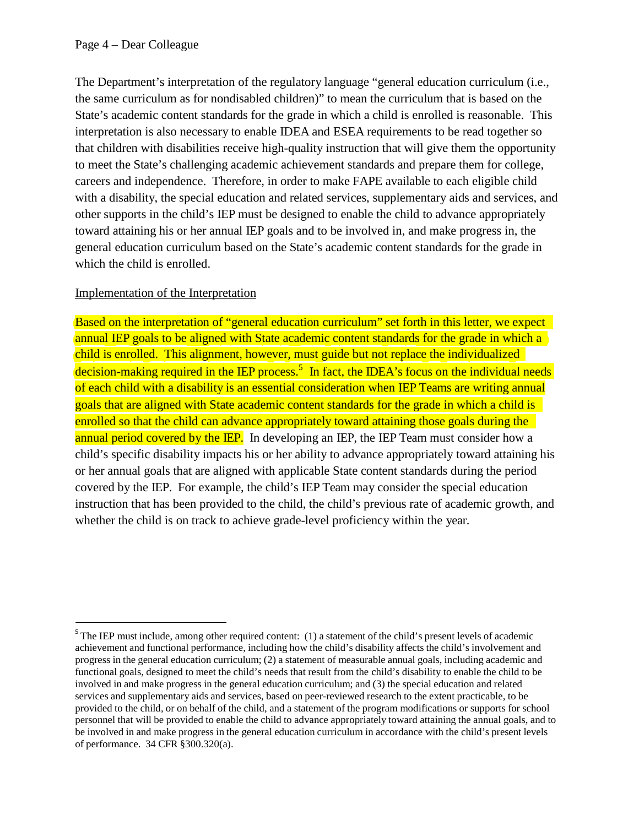The Department's interpretation of the regulatory language "general education curriculum (i.e., the same curriculum as for nondisabled children)" to mean the curriculum that is based on the State's academic content standards for the grade in which a child is enrolled is reasonable. This interpretation is also necessary to enable IDEA and ESEA requirements to be read together so that children with disabilities receive high-quality instruction that will give them the opportunity to meet the State's challenging academic achievement standards and prepare them for college, careers and independence. Therefore, in order to make FAPE available to each eligible child with a disability, the special education and related services, supplementary aids and services, and other supports in the child's IEP must be designed to enable the child to advance appropriately toward attaining his or her annual IEP goals and to be involved in, and make progress in, the general education curriculum based on the State's academic content standards for the grade in which the child is enrolled.

### Implementation of the Interpretation

Based on the interpretation of "general education curriculum" set forth in this letter, we expect annual IEP goals to be aligned with State academic content standards for the grade in which a child is enrolled. This alignment, however, must guide but not replace the individualized decision-making required in the IEP process.<sup>5</sup> In fact, the IDEA's focus on the individual needs of each child with a disability is an essential consideration when IEP Teams are writing annual goals that are aligned with State academic content standards for the grade in which a child is enrolled so that the child can advance appropriately toward attaining those goals during the annual period covered by the IEP. In developing an IEP, the IEP Team must consider how a child's specific disability impacts his or her ability to advance appropriately toward attaining his or her annual goals that are aligned with applicable State content standards during the period covered by the IEP. For example, the child's IEP Team may consider the special education instruction that has been provided to the child, the child's previous rate of academic growth, and whether the child is on track to achieve grade-level proficiency within the year.

<sup>&</sup>lt;sup>5</sup> The IEP must include, among other required content: (1) a statement of the child's present levels of academic achievement and functional performance, including how the child's disability affects the child's involvement and progress in the general education curriculum; (2) a statement of measurable annual goals, including academic and functional goals, designed to meet the child's needs that result from the child's disability to enable the child to be involved in and make progress in the general education curriculum; and (3) the special education and related services and supplementary aids and services, based on peer-reviewed research to the extent practicable, to be provided to the child, or on behalf of the child, and a statement of the program modifications or supports for school personnel that will be provided to enable the child to advance appropriately toward attaining the annual goals, and to be involved in and make progress in the general education curriculum in accordance with the child's present levels of performance. 34 CFR §300.320(a).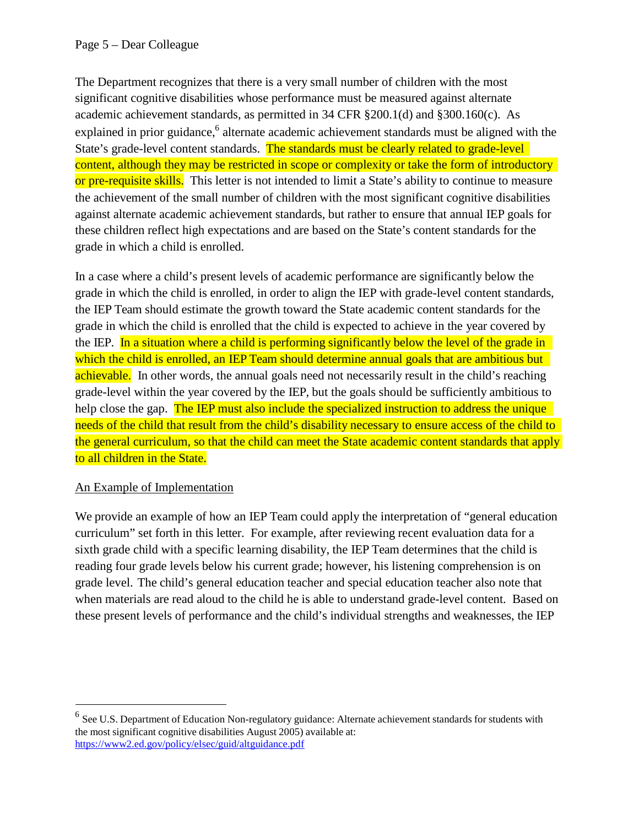The Department recognizes that there is a very small number of children with the most significant cognitive disabilities whose performance must be measured against alternate academic achievement standards, as permitted in 34 CFR §200.1(d) and §300.160(c). As explained in prior guidance, $6$  alternate academic achievement standards must be aligned with the State's grade-level content standards. The standards must be clearly related to grade-level content, although they may be restricted in scope or complexity or take the form of introductory or pre-requisite skills. This letter is not intended to limit a State's ability to continue to measure the achievement of the small number of children with the most significant cognitive disabilities against alternate academic achievement standards, but rather to ensure that annual IEP goals for these children reflect high expectations and are based on the State's content standards for the grade in which a child is enrolled.

In a case where a child's present levels of academic performance are significantly below the grade in which the child is enrolled, in order to align the IEP with grade-level content standards, the IEP Team should estimate the growth toward the State academic content standards for the grade in which the child is enrolled that the child is expected to achieve in the year covered by the IEP. In a situation where a child is performing significantly below the level of the grade in which the child is enrolled, an IEP Team should determine annual goals that are ambitious but achievable. In other words, the annual goals need not necessarily result in the child's reaching grade-level within the year covered by the IEP, but the goals should be sufficiently ambitious to help close the gap. The IEP must also include the specialized instruction to address the unique needs of the child that result from the child's disability necessary to ensure access of the child to the general curriculum, so that the child can meet the State academic content standards that apply to all children in the State.

## An Example of Implementation

We provide an example of how an IEP Team could apply the interpretation of "general education" curriculum" set forth in this letter. For example, after reviewing recent evaluation data for a sixth grade child with a specific learning disability, the IEP Team determines that the child is reading four grade levels below his current grade; however, his listening comprehension is on grade level. The child's general education teacher and special education teacher also note that when materials are read aloud to the child he is able to understand grade-level content. Based on these present levels of performance and the child's individual strengths and weaknesses, the IEP

<sup>&</sup>lt;sup>6</sup> See U.S. Department of Education Non-regulatory guidance: Alternate achievement standards for students with the most significant cognitive disabilities August 2005) available at: <https://www2.ed.gov/policy/elsec/guid/altguidance.pdf>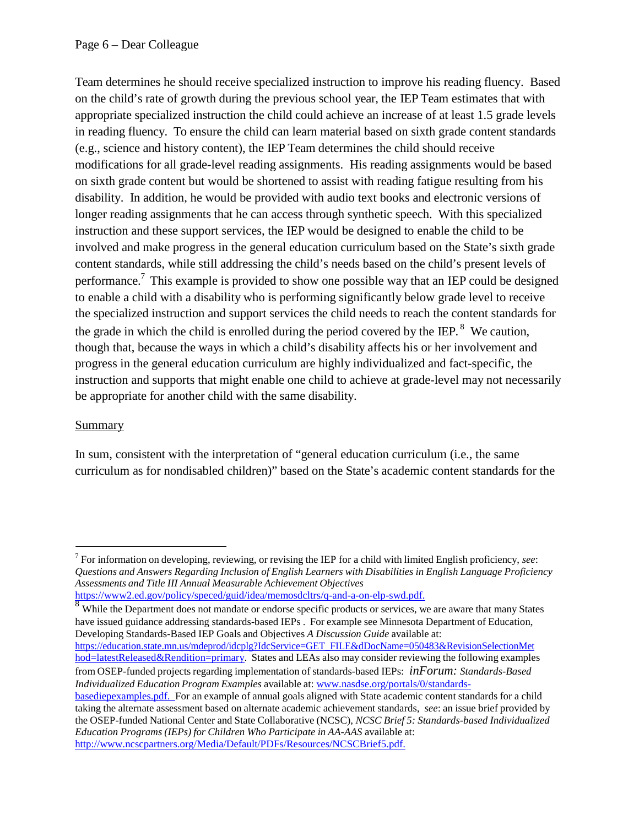Team determines he should receive specialized instruction to improve his reading fluency. Based on the child's rate of growth during the previous school year, the IEP Team estimates that with appropriate specialized instruction the child could achieve an increase of at least 1.5 grade levels in reading fluency. To ensure the child can learn material based on sixth grade content standards (e.g., science and history content), the IEP Team determines the child should receive modifications for all grade-level reading assignments. His reading assignments would be based on sixth grade content but would be shortened to assist with reading fatigue resulting from his disability. In addition, he would be provided with audio text books and electronic versions of longer reading assignments that he can access through synthetic speech. With this specialized instruction and these support services, the IEP would be designed to enable the child to be involved and make progress in the general education curriculum based on the State's sixth grade content standards, while still addressing the child's needs based on the child's present levels of performance.<sup>7</sup> This example is provided to show one possible way that an IEP could be designed to enable a child with a disability who is performing significantly below grade level to receive the specialized instruction and support services the child needs to reach the content standards for the grade in which the child is enrolled during the period covered by the IEP. $^8$  We caution, though that, because the ways in which a child's disability affects his or her involvement and progress in the general education curriculum are highly individualized and fact-specific, the instruction and supports that might enable one child to achieve at grade-level may not necessarily be appropriate for another child with the same disability.

## Summary

In sum, consistent with the interpretation of "general education curriculum (i.e., the same curriculum as for nondisabled children)" based on the State's academic content standards for the

 $\frac{https://www2.edu.gov/policy/speed/guid/idea/memosdcltrs/q-and-a-on-elp-swd.pdf}{8}$  While the Department does not mandate or endorse specific products or services, we are aware that many States have issued guidance addressing standards-based IEPs . For example see Minnesota Department of Education, Developing Standards-Based IEP Goals and Objectives *A Discussion Guide* available at: [https://education.state.mn.us/mdeprod/idcplg?IdcService=GET\\_FILE&dDocName=050483&RevisionSelectionMet](https://education.state.mn.us/mdeprod/idcplg?IdcService=GET_FILE&dDocName=050483&RevisionSelectionMethod=latestReleased&Rendition=primary) [hod=latestReleased&Rendition=primary.](https://education.state.mn.us/mdeprod/idcplg?IdcService=GET_FILE&dDocName=050483&RevisionSelectionMethod=latestReleased&Rendition=primary) States and LEAs also may consider reviewing the following examples from OSEP-funded projects regarding implementation of standards-based IEPs: *inForum: Standards-Based*

*Individualized Education Program Examples* available at: [www.nasdse.org/portals/0/standards](http://www.nasdse.org/portals/0/standards-basediepexamples.pdf)[basediepexamples.pdf.](http://www.nasdse.org/portals/0/standards-basediepexamples.pdf) For an example of annual goals aligned with State academic content standards for a child taking the alternate assessment based on alternate academic achievement standards, *see*: an issue brief provided by the OSEP-funded National Center and State Collaborative (NCSC), *NCSC Brief 5: [Standards-based](http://www.ncscpartners.org/Media/Default/PDFs/Resources/NCSCBrief5.pdf) Individualized Education Programs (IEPs) for Children Who [Participate](http://www.ncscpartners.org/Media/Default/PDFs/Resources/NCSCBrief5.pdf) in AA-AAS* available at:

[http://www.ncscpartners.org/Media/Default/PDFs/Resources/NCSCBrief5.pdf.](http://www.ncscpartners.org/Media/Default/PDFs/Resources/NCSCBrief5.pdf)

<sup>7</sup> For information on developing, reviewing, or revising the IEP for a child with limited English proficiency, *see*: *Questions and Answers Regarding Inclusion of English Learners with Disabilities in English Language Proficiency Assessments and Title III Annual Measurable Achievement Objectives*